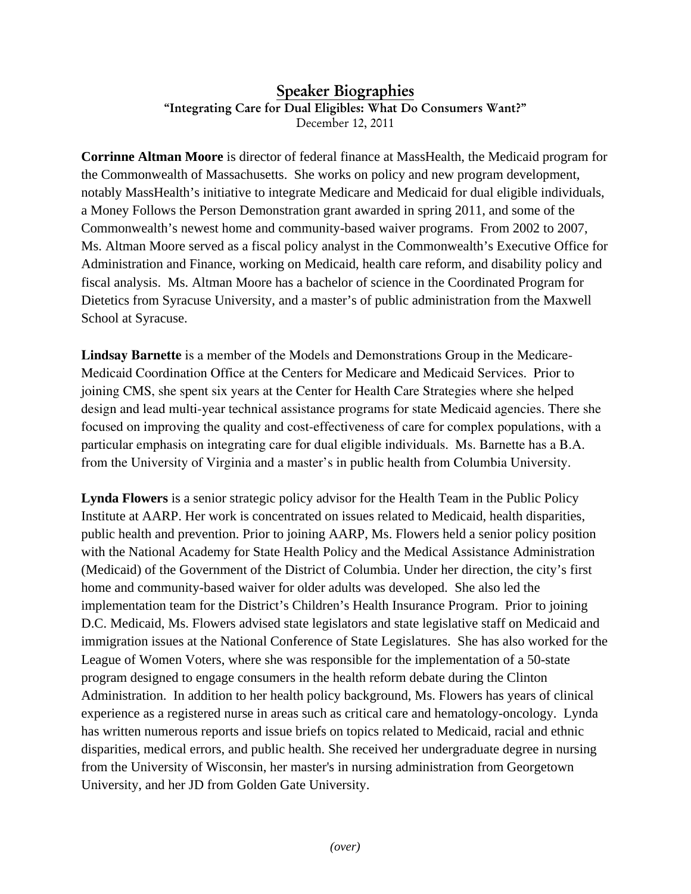## Speaker Biographies "Integrating Care for Dual Eligibles: What Do Consumers Want?" December 12, 2011

**Corrinne Altman Moore** is director of federal finance at MassHealth, the Medicaid program for the Commonwealth of Massachusetts. She works on policy and new program development, notably MassHealth's initiative to integrate Medicare and Medicaid for dual eligible individuals, a Money Follows the Person Demonstration grant awarded in spring 2011, and some of the Commonwealth's newest home and community-based waiver programs. From 2002 to 2007, Ms. Altman Moore served as a fiscal policy analyst in the Commonwealth's Executive Office for Administration and Finance, working on Medicaid, health care reform, and disability policy and fiscal analysis. Ms. Altman Moore has a bachelor of science in the Coordinated Program for Dietetics from Syracuse University, and a master's of public administration from the Maxwell School at Syracuse.

**Lindsay Barnette** is a member of the Models and Demonstrations Group in the Medicare-Medicaid Coordination Office at the Centers for Medicare and Medicaid Services. Prior to joining CMS, she spent six years at the Center for Health Care Strategies where she helped design and lead multi-year technical assistance programs for state Medicaid agencies. There she focused on improving the quality and cost-effectiveness of care for complex populations, with a particular emphasis on integrating care for dual eligible individuals. Ms. Barnette has a B.A. from the University of Virginia and a master's in public health from Columbia University.

**Lynda Flowers** is a senior strategic policy advisor for the Health Team in the Public Policy Institute at AARP. Her work is concentrated on issues related to Medicaid, health disparities, public health and prevention. Prior to joining AARP, Ms. Flowers held a senior policy position with the National Academy for State Health Policy and the Medical Assistance Administration (Medicaid) of the Government of the District of Columbia. Under her direction, the city's first home and community-based waiver for older adults was developed. She also led the implementation team for the District's Children's Health Insurance Program. Prior to joining D.C. Medicaid, Ms. Flowers advised state legislators and state legislative staff on Medicaid and immigration issues at the National Conference of State Legislatures. She has also worked for the League of Women Voters, where she was responsible for the implementation of a 50-state program designed to engage consumers in the health reform debate during the Clinton Administration. In addition to her health policy background, Ms. Flowers has years of clinical experience as a registered nurse in areas such as critical care and hematology-oncology. Lynda has written numerous reports and issue briefs on topics related to Medicaid, racial and ethnic disparities, medical errors, and public health. She received her undergraduate degree in nursing from the University of Wisconsin, her master's in nursing administration from Georgetown University, and her JD from Golden Gate University.